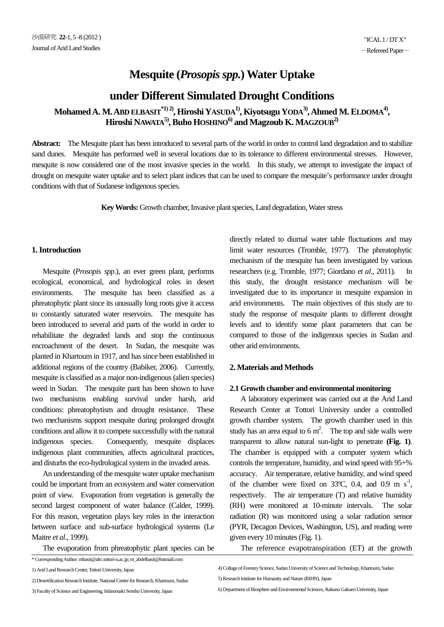# **Mesquite (***Prosopis spp.***) Water Uptake**

# **under Different Simulated Drought Conditions**

**Mohamed A. M. ABD ELBASIT\*1) 2), Hiroshi YASUDA1), Kiyotsugu YODA3), Ahmed M. ELDOMA4), Hiroshi NAWATA5), Buho HOSHINO6) and Magzoub K. MAGZOUB2)**

**Abstract:** The Mesquite plant has been introduced to several parts of the world in order to control land degradation and to stabilize sand dunes. Mesquite has performed well in several locations due to its tolerance to different environmental stresses. However, mesquite is now considered one of the most invasive species in the world. In this study, we attempt to investigate the impact of drought on mesquite water uptake and to select plant indices that can be used to compare the mesquite's performance under drought conditions with that of Sudanese indigenous species.

**Key Words:** Growth chamber, Invasive plant species, Land degradation, Water stress

# **1. Introduction**

 Mesquite (*Prosopis spp*.), an ever green plant, performs ecological, economical, and hydrological roles in desert environments. The mesquite has been classified as a phreatophytic plant since its unusually long roots give it access to constantly saturated water reservoirs. The mesquite has been introduced to several arid parts of the world in order to rehabilitate the degraded lands and stop the continuous encroachment of the desert. In Sudan, the mesquite was planted in Khartoum in 1917, and has since been established in additional regions of the country (Babiker, 2006). Currently, mesquite is classified as a major non-indigenous (alien species) weed in Sudan. The mesquite pant has been shown to have two mechanisms enabling survival under harsh, arid conditions: phreatophytism and drought resistance. These two mechanisms support mesquite during prolonged drought conditions and allow it to compete successfully with the natural indigenous species. Consequently, mesquite displaces indigenous plant communities, affects agricultural practices, and disturbs the eco-hydrological system in the invaded areas.

 An understanding of the mesquite water uptake mechanism could be important from an ecosystem and water conservation point of view. Evaporation from vegetation is generally the second largest component of water balance (Calder, 1999). For this reason, vegetation plays key roles in the interaction between surface and sub-surface hydrological systems (Le Maitre *et al*., 1999).

The evaporation from phreatophytic plant species can be

\* Corresponding Author: mbasit@alrc.tottori-u.ac.jp; m\_abdelbasit@hotmail.com

1) Arid Land Research Center, Tottori University, Japan

2) Desertification Research Institute, National Center for Research, Khartoum, Sudan

3) Faculty of Science and Engineering, Ishinomaki Senshu University, Japan

directly related to diurnal water table fluctuations and may limit water resources (Tromble, 1977). The phreatophytic mechanism of the mesquite has been investigated by various researchers (e.g. Tromble, 1977; Giordano *et al*., 2011). In this study, the drought resistance mechanism will be investigated due to its importance in mesquite expansion in arid environments. The main objectives of this study are to study the response of mesquite plants to different drought levels and to identify some plant parameters that can be compared to those of the indigenous species in Sudan and other arid environments.

# **2. Materials and Methods**

# **2.1 Growth chamber and environmental monitoring**

 A laboratory experiment was carried out at the Arid Land Research Center at Tottori University under a controlled growth chamber system. The growth chamber used in this study has an area equal to  $6 \text{ m}^2$ . The top and side walls were transparent to allow natural sun-light to penetrate **(Fig. 1)**. The chamber is equipped with a computer system which controls the temperature, humidity, and wind speed with 95+% accuracy. Air temperature, relative humidity, and wind speed of the chamber were fixed on 33°C, 0.4, and 0.9 m  $s^{-1}$ , respectively. The air temperature (T) and relative humidity (RH) were monitored at 10-minute intervals. The solar radiation (R) was monitored using a solar radiation sensor (PYR, Decagon Devices, Washington, US), and reading were given every 10 minutes(Fig. 1).

The reference evapotranspiration (ET) at the growth

4) Collage of Forestry Science, Sudan University of Science and Technology, Khartoum, Sudan 5) Research Institute for Humanity and Nature (RIHN), Japan

6) Department of Biosphere and Environmental Sciences, Rakuno Gakuen University, Japan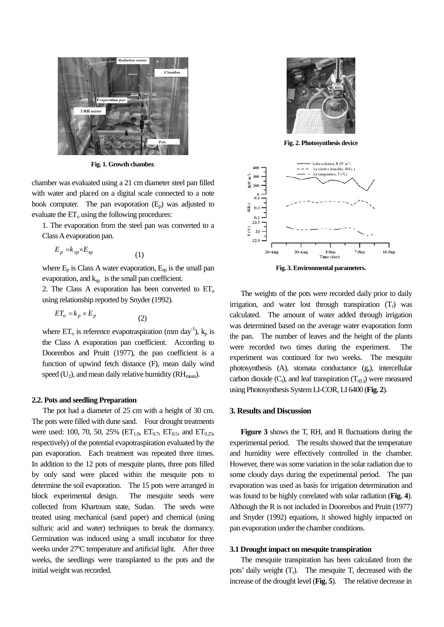

**Fig. 1. Growth chamber.**

chamber was evaluated using a 21 cm diameter steel pan filled with water and placed on a digital scale connected to a note book computer. The pan evaporation  $(E_p)$  was adjusted to evaluate the  $ET_0$  using the following procedures:

1. The evaporation from the steel pan was converted to a Class A evaporation pan.

$$
E_p = k_{sp} \times E_{sp} \tag{1}
$$

where  $E_p$  is Class A water evaporation,  $E_{sp}$  is the small pan evaporation, and  $k_{sp}$  is the small pan coefficient.

2. The Class A evaporation has been converted to  $ET_0$ using relationship reported by Snyder (1992).

$$
ET_o = k_p \times E_p \tag{2}
$$

where  $ET_0$  is reference evapotraspiration (mm day<sup>-1</sup>),  $k_p$  is the Class A evaporation pan coefficient. According to Doorenbos and Pruitt (1977), the pan coefficient is a function of upwind fetch distance (F), mean daily wind speed  $(U_2)$ , and mean daily relative humidity ( $RH_{mean}$ ).

#### **2.2. Pots and seedling Preparation**

 The pot had a diameter of 25 cm with a height of 30 cm. The pots were filled with dune sand. Four drought treatments were used: 100, 70, 50, 25% ( $ET_{1.0}$ ,  $ET_{0.7}$ ,  $ET_{0.5}$ , and  $ET_{0.25}$ , respectively) of the potential evapotraspiration evaluated by the pan evaporation. Each treatment was repeated three times. In addition to the 12 pots of mesquite plants, three pots filled by only sand were placed within the mesquite pots to determine the soil evaporation. The 15 pots were arranged in block experimental design. The mesquite seeds were collected from Khartoum state, Sudan. The seeds were treated using mechanical (sand paper) and chemical (using sulfuric acid and water) techniques to break the dormancy. Germination was induced using a small incubator for three weeks under 27ºC temperature and artificial light. After three weeks, the seedlings were transplanted to the pots and the initial weight was recorded.



**Fig. 2. Photosynthesis device**



**Fig. 3. Environmental parameters.**

 The weights of the pots were recorded daily prior to daily irrigation, and water lost through transpiration  $(T_r)$  was calculated. The amount of water added through irrigation was determined based on the average water evaporation form the pan. The number of leaves and the height of the plants were recorded two times during the experiment. experiment was continued for two weeks. The mesquite photosynthesis (A), stomata conductance (gs), intercellular carbon dioxide  $(C_i)$ , and leaf transpiration  $(T_{r(L)})$  were measured using Photosynthesis System LI-COR, LI 6400 (**Fig. 2**).

#### **3. Results and Discussion**

 **Figure 3** shows the T, RH, and R fluctuations during the experimental period. The results showed that the temperature and humidity were effectively controlled in the chamber. However, there was some variation in the solar radiation due to some cloudy days during the experimental period. The pan evaporation was used as basis for irrigation determination and was found to be highly correlated with solar radiation (**Fig. 4**). Although the R is not included in Doorenbos and Pruitt (1977) and Snyder (1992) equations, it showed highly impacted on pan evaporation under the chamber conditions.

## **3.1 Drought impact on mesquite transpiration**

 The mesquite transpiration has been calculated from the pots' daily weight  $(T_r)$ . The mesquite  $T_r$  decreased with the increase of the drought level (**Fig. 5**). The relative decrease in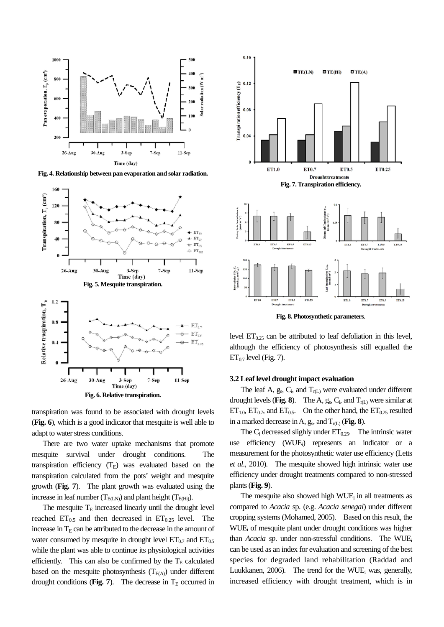

**Fig. 4. Relationship between pan evaporation and solar radiation.**





 There are two water uptake mechanisms that promote mesquite survival under drought conditions. The transpiration efficiency  $(T_E)$  was evaluated based on the transpiration calculated from the pots' weight and mesquite growth (**Fig. 7**). The plant growth was evaluated using the increase in leaf number ( $T_{E(LN)}$ ) and plant height ( $T_{E(Hi)}$ ).

The mesquite  $T<sub>E</sub>$  increased linearly until the drought level reached  $ET_{0.5}$  and then decreased in  $ET_{0.25}$  level. The increase in  $T<sub>E</sub>$  can be attributed to the decrease in the amount of water consumed by mesquite in drought level  $ET_{0.7}$  and  $ET_{0.5}$ while the plant was able to continue its physiological activities efficiently. This can also be confirmed by the  $T_E$  calculated based on the mesquite photosynthesis  $(T_{E(A)})$  under different drought conditions (**Fig. 7**). The decrease in  $T_E$  occurred in



**Fig. 8. Photosynthetic parameters**.

level  $ET_{0.25}$  can be attributed to leaf defoliation in this level, although the efficiency of photosynthesis still equalled the  $ET_{0.7}$  level (Fig. 7).

#### **3.2 Leaf level drought impact evaluation**

The leaf A,  $g_s$ ,  $C_i$ , and  $T_{r(L)}$  were evaluated under different drought levels (**Fig. 8**). The A,  $g_s$ ,  $C_i$ , and  $T_{r(L)}$  were similar at  $ET_{1.0}$ ,  $ET_{0.7}$ , and  $ET_{0.5}$ . On the other hand, the  $ET_{0.25}$  resulted in a marked decrease in A,  $g_s$ , and  $T_{r(L)}$  (**Fig. 8**).

The  $C_i$  decreased slighly under  $ET_{0.25}$ . The intrinsic water use efficiency (WUEi ) represents an indicator or a measurement for the photosynthetic water use efficiency (Letts *et al*., 2010). The mesquite showed high intrinsic water use efficiency under drought treatments compared to non-stressed plants(**Fig. 9**).

The mesquite also showed high  $WUE<sub>i</sub>$  in all treatments as compared to *Acacia* sp. (e.g. *Acacia senegal*) under different cropping systems (Mohamed, 2005). Based on this result, the WUE<sub>i</sub> of mesquite plant under drought conditions was higher than *Acacia sp*. under non-stressful conditions. The WUE<sub>i</sub> can be used as an index for evaluation and screening of the best species for degraded land rehabilitation (Raddad and Luukkanen, 2006). The trend for the WUE was, generally, increased efficiency with drought treatment, which is in